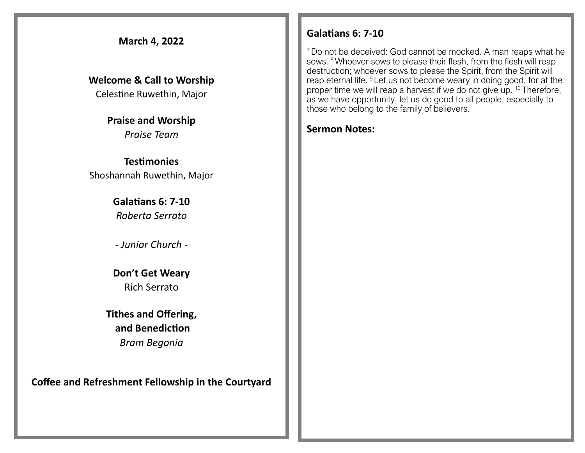**March 4, 2022**

**Welcome & Call to Worship**  Celestine Ruwethin, Major

> **Praise and Worship** *Praise Team*

**Testimonies**  Shoshannah Ruwethin, Major

> **Galatians 6: 7-10** *Roberta Serrato*

*- Junior Church -*

**Don't Get Weary** Rich Serrato

**Tithes and Offering, and Benediction** *Bram Begonia* 

**Coffee and Refreshment Fellowship in the Courtyard**

## **Galatians 6: 7-10**

<sup>7</sup> Do not be deceived: God cannot be mocked. A man reaps what he sows. <sup>8</sup> Whoever sows to please their flesh, from the flesh will reap destruction; whoever sows to please the Spirit, from the Spirit will reap eternal life. <sup>9</sup> Let us not become weary in doing good, for at the proper time we will reap a harvest if we do not give up. <sup>10</sup> Therefore, as we have opportunity, let us do good to all people, especially to those who belong to the family of believers.

### **Sermon Notes:**